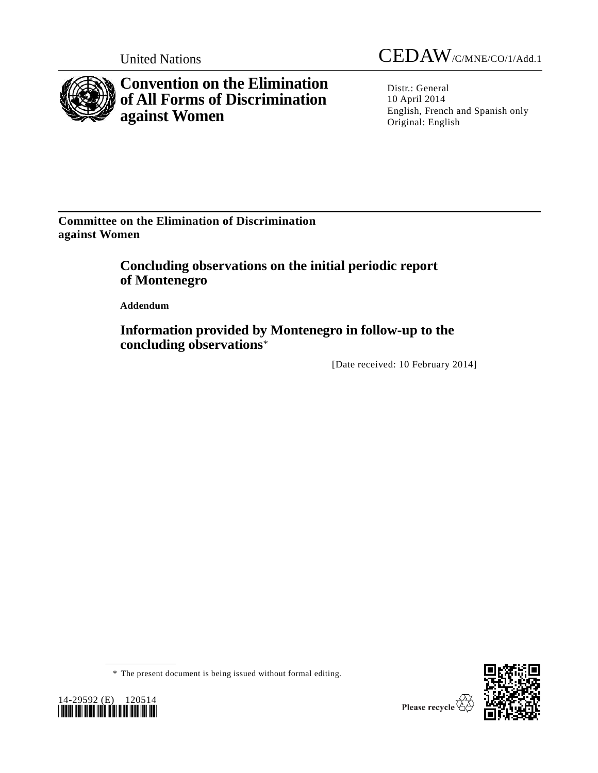

**Convention on the Elimination of All Forms of Discrimination against Women**

United Nations CEDAW/C/MNE/CO/1/Add.1

Distr.: General 10 April 2014 English, French and Spanish only Original: English

**Committee on the Elimination of Discrimination against Women**

> **Concluding observations on the initial periodic report of Montenegro**

**Addendum**

**Information provided by Montenegro in follow-up to the concluding observations**\*

[Date received: 10 February 2014]





<sup>\*</sup> The present document is being issued without formal editing.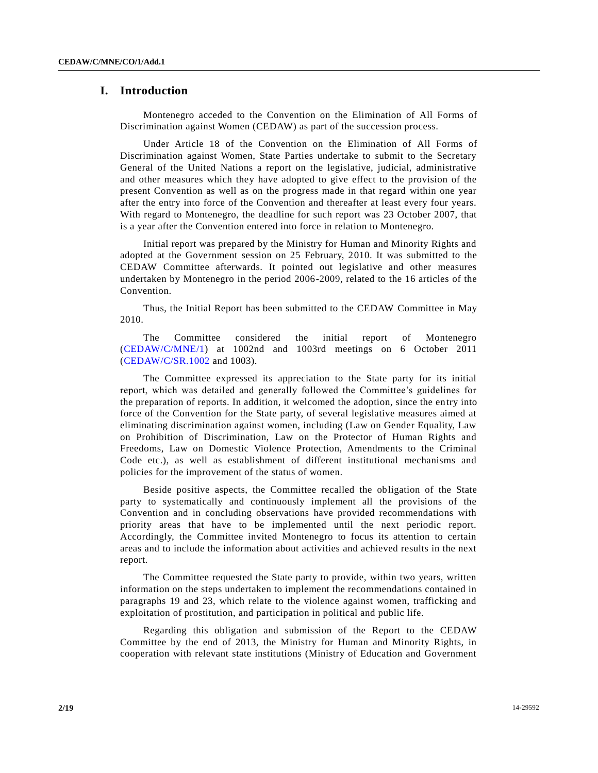# **I. Introduction**

Montenegro acceded to the Convention on the Elimination of All Forms of Discrimination against Women (CEDAW) as part of the succession process.

Under Article 18 of the Convention on the Elimination of All Forms of Discrimination against Women, State Parties undertake to submit to the Secretary General of the United Nations a report on the legislative, judicial, administrative and other measures which they have adopted to give effect to the provision of the present Convention as well as on the progress made in that regard within one year after the entry into force of the Convention and thereafter at least every four years. With regard to Montenegro, the deadline for such report was 23 October 2007, that is a year after the Convention entered into force in relation to Montenegro.

Initial report was prepared by the Ministry for Human and Minority Rights and adopted at the Government session on 25 February, 2010. It was submitted to the CEDAW Committee afterwards. It pointed out legislative and other measures undertaken by Montenegro in the period 2006-2009, related to the 16 articles of the Convention.

Thus, the Initial Report has been submitted to the CEDAW Committee in May 2010.

The Committee considered the initial report of Montenegro [\(CEDAW/C/MNE/1\)](http://undocs.org/CEDAW/C/MNE/1) at 1002nd and 1003rd meetings on 6 October 2011 [\(CEDAW/C/SR.1002](http://undocs.org/CEDAW/C/SR.1002) and 1003).

The Committee expressed its appreciation to the State party for its initial report, which was detailed and generally followed the Committee's guidelines for the preparation of reports. In addition, it welcomed the adoption, since the en try into force of the Convention for the State party, of several legislative measures aimed at eliminating discrimination against women, including (Law on Gender Equality, Law on Prohibition of Discrimination, Law on the Protector of Human Rights and Freedoms, Law on Domestic Violence Protection, Amendments to the Criminal Code etc.), as well as establishment of different institutional mechanisms and policies for the improvement of the status of women.

Beside positive aspects, the Committee recalled the obligation of the State party to systematically and continuously implement all the provisions of the Convention and in concluding observations have provided recommendations with priority areas that have to be implemented until the next periodic report. Accordingly, the Committee invited Montenegro to focus its attention to certain areas and to include the information about activities and achieved results in the next report.

The Committee requested the State party to provide, within two years, written information on the steps undertaken to implement the recommendations contained in paragraphs 19 and 23, which relate to the violence against women, trafficking and exploitation of prostitution, and participation in political and public life.

Regarding this obligation and submission of the Report to the CEDAW Committee by the end of 2013, the Ministry for Human and Minority Rights, in cooperation with relevant state institutions (Ministry of Education and Government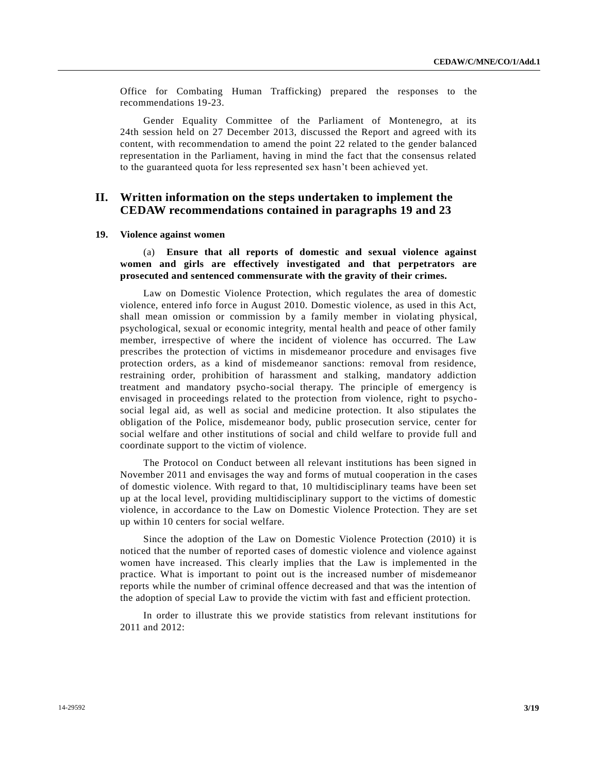Office for Combating Human Trafficking) prepared the responses to the recommendations 19-23.

Gender Equality Committee of the Parliament of Montenegro, at its 24th session held on 27 December 2013, discussed the Report and agreed with its content, with recommendation to amend the point 22 related to the gender balanced representation in the Parliament, having in mind the fact that the consensus related to the guaranteed quota for less represented sex hasn't been achieved yet.

# **II. Written information on the steps undertaken to implement the CEDAW recommendations contained in paragraphs 19 and 23**

#### **19. Violence against women**

(a) **Ensure that all reports of domestic and sexual violence against women and girls are effectively investigated and that perpetrators are prosecuted and sentenced commensurate with the gravity of their crimes.**

Law on Domestic Violence Protection, which regulates the area of domestic violence, entered info force in August 2010. Domestic violence, as used in this Act, shall mean omission or commission by a family member in violating physical, psychological, sexual or economic integrity, mental health and peace of other family member, irrespective of where the incident of violence has occurred. The Law prescribes the protection of victims in misdemeanor procedure and envisages five protection orders, as a kind of misdemeanor sanctions: removal from residence, restraining order, prohibition of harassment and stalking, mandatory addiction treatment and mandatory psycho-social therapy. The principle of emergency is envisaged in proceedings related to the protection from violence, right to psychosocial legal aid, as well as social and medicine protection. It also stipulates the obligation of the Police, misdemeanor body, public prosecution service, center for social welfare and other institutions of social and child welfare to provide full and coordinate support to the victim of violence.

The Protocol on Conduct between all relevant institutions has been signed in November 2011 and envisages the way and forms of mutual cooperation in the cases of domestic violence. With regard to that, 10 multidisciplinary teams have been set up at the local level, providing multidisciplinary support to the victims of domestic violence, in accordance to the Law on Domestic Violence Protection. They are set up within 10 centers for social welfare.

Since the adoption of the Law on Domestic Violence Protection (2010) it is noticed that the number of reported cases of domestic violence and violence against women have increased. This clearly implies that the Law is implemented in the practice. What is important to point out is the increased number of misdemeanor reports while the number of criminal offence decreased and that was the intention of the adoption of special Law to provide the victim with fast and e fficient protection.

In order to illustrate this we provide statistics from relevant institutions for 2011 and 2012: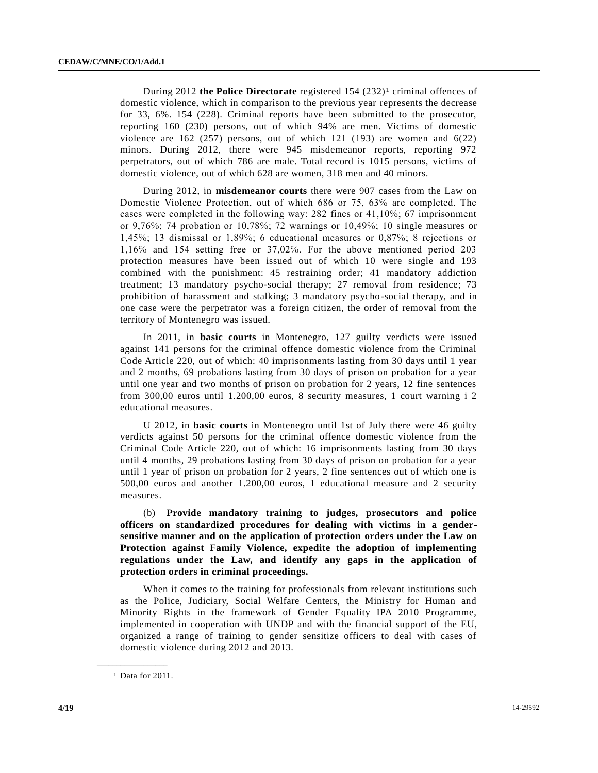During 2012 **the Police Directorate** registered 154 (232)<sup>1</sup> criminal offences of domestic violence, which in comparison to the previous year represents the decrease for 33, 6%. 154 (228). Criminal reports have been submitted to the prosecutor, reporting 160 (230) persons, out of which 94% are men. Victims of domestic violence are  $162$  (257) persons, out of which  $121$  (193) are women and  $6(22)$ minors. During 2012, there were 945 misdemeanor reports, reporting 972 perpetrators, out of which 786 are male. Total record is 1015 persons, victims of domestic violence, out of which 628 are women, 318 men and 40 minors.

During 2012, in **misdemeanor courts** there were 907 cases from the Law on Domestic Violence Protection, out of which 686 or 75, 63℅ are completed. The cases were completed in the following way: 282 fines or 41,10%; 67 imprisonment or 9,76℅; 74 probation or 10,78℅; 72 warnings or 10,49℅; 10 single measures or 1,45℅; 13 dismissal or 1,89℅; 6 educational measures or 0,87℅; 8 rejections or 1,16℅ and 154 setting free or 37,02℅. For the above mentioned period 203 protection measures have been issued out of which 10 were single and 193 combined with the punishment: 45 restraining order; 41 mandatory addiction treatment; 13 mandatory psycho-social therapy; 27 removal from residence; 73 prohibition of harassment and stalking; 3 mandatory psycho-social therapy, and in one case were the perpetrator was a foreign citizen, the order of removal from the territory of Montenegro was issued.

In 2011, in **basic courts** in Montenegro, 127 guilty verdicts were issued against 141 persons for the criminal offence domestic violence from the Criminal Code Article 220, out of which: 40 imprisonments lasting from 30 days until 1 year and 2 months, 69 probations lasting from 30 days of prison on probation for a year until one year and two months of prison on probation for 2 years, 12 fine sentences from 300,00 euros until 1.200,00 euros, 8 security measures, 1 court warning i 2 educational measures.

U 2012, in **basic courts** in Montenegro until 1st of July there were 46 guilty verdicts against 50 persons for the criminal offence domestic violence from the Criminal Code Article 220, out of which: 16 imprisonments lasting from 30 days until 4 months, 29 probations lasting from 30 days of prison on probation for a year until 1 year of prison on probation for 2 years, 2 fine sentences out of which one is 500,00 euros and another 1.200,00 euros, 1 educational measure and 2 security measures.

(b) **Provide mandatory training to judges, prosecutors and police officers on standardized procedures for dealing with victims in a gendersensitive manner and on the application of protection orders under the Law on Protection against Family Violence, expedite the adoption of implementing regulations under the Law, and identify any gaps in the application of protection orders in criminal proceedings.**

When it comes to the training for professionals from relevant institutions such as the Police, Judiciary, Social Welfare Centers, the Ministry for Human and Minority Rights in the framework of Gender Equality IPA 2010 Programme, implemented in cooperation with UNDP and with the financial support of the EU, organized a range of training to gender sensitize officers to deal with cases of domestic violence during 2012 and 2013.

**\_\_\_\_\_\_\_\_\_\_\_\_\_\_\_\_\_\_**

<sup>1</sup> Data for 2011.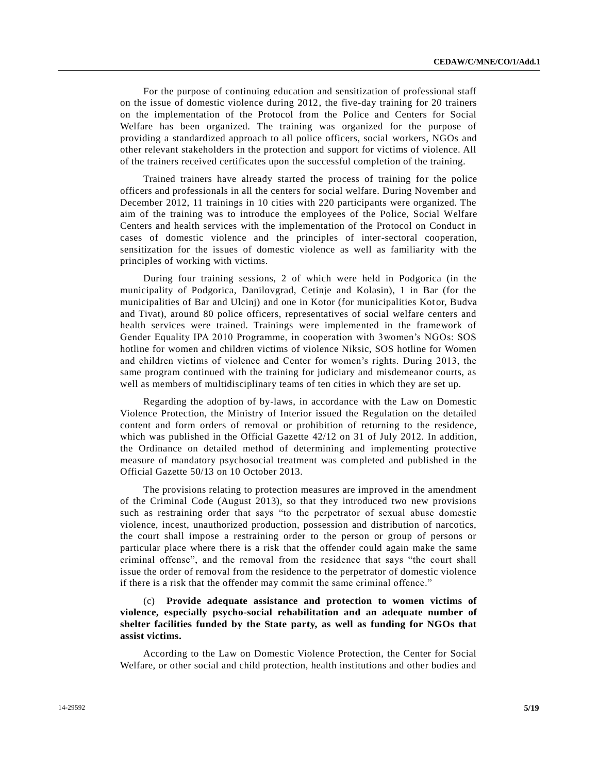For the purpose of continuing education and sensitization of professional staff on the issue of domestic violence during 2012, the five-day training for 20 trainers on the implementation of the Protocol from the Police and Centers for Social Welfare has been organized. The training was organized for the purpose of providing a standardized approach to all police officers, social workers, NGOs and other relevant stakeholders in the protection and support for victims of violence. All of the trainers received certificates upon the successful completion of the training.

Trained trainers have already started the process of training for the police officers and professionals in all the centers for social welfare. During November and December 2012, 11 trainings in 10 cities with 220 participants were organized. The aim of the training was to introduce the employees of the Police, Social Welfare Centers and health services with the implementation of the Protocol on Conduct in cases of domestic violence and the principles of inter-sectoral cooperation, sensitization for the issues of domestic violence as well as familiarity with the principles of working with victims.

During four training sessions, 2 of which were held in Podgorica (in the municipality of Podgorica, Danilovgrad, Cetinje and Kolasin), 1 in Bar (for the municipalities of Bar and Ulcinj) and one in Kotor (for municipalities Kotor, Budva and Tivat), around 80 police officers, representatives of social welfare centers and health services were trained. Trainings were implemented in the framework of Gender Equality IPA 2010 Programme, in cooperation with 3women's NGOs: SOS hotline for women and children victims of violence Niksic, SOS hotline for Women and children victims of violence and Center for women's rights. During 2013, the same program continued with the training for judiciary and misdemeanor courts, as well as members of multidisciplinary teams of ten cities in which they are set up.

Regarding the adoption of by-laws, in accordance with the Law on Domestic Violence Protection, the Ministry of Interior issued the Regulation on the detailed content and form orders of removal or prohibition of returning to the residence, which was published in the Official Gazette 42/12 on 31 of July 2012. In addition, the Ordinance on detailed method of determining and implementing protective measure of mandatory psychosocial treatment was completed and published in the Official Gazette 50/13 on 10 October 2013.

The provisions relating to protection measures are improved in the amendment of the Criminal Code (August 2013), so that they introduced two new provisions such as restraining order that says "to the perpetrator of sexual abuse domestic violence, incest, unauthorized production, possession and distribution of narcotics, the court shall impose a restraining order to the person or group of persons or particular place where there is a risk that the offender could again make the same criminal offense", and the removal from the residence that says "the court shall issue the order of removal from the residence to the perpetrator of domestic violence if there is a risk that the offender may commit the same criminal offence."

(c) **Provide adequate assistance and protection to women victims of violence, especially psycho-social rehabilitation and an adequate number of shelter facilities funded by the State party, as well as funding for NGOs that assist victims.**

According to the Law on Domestic Violence Protection, the Center for Social Welfare, or other social and child protection, health institutions and other bodies and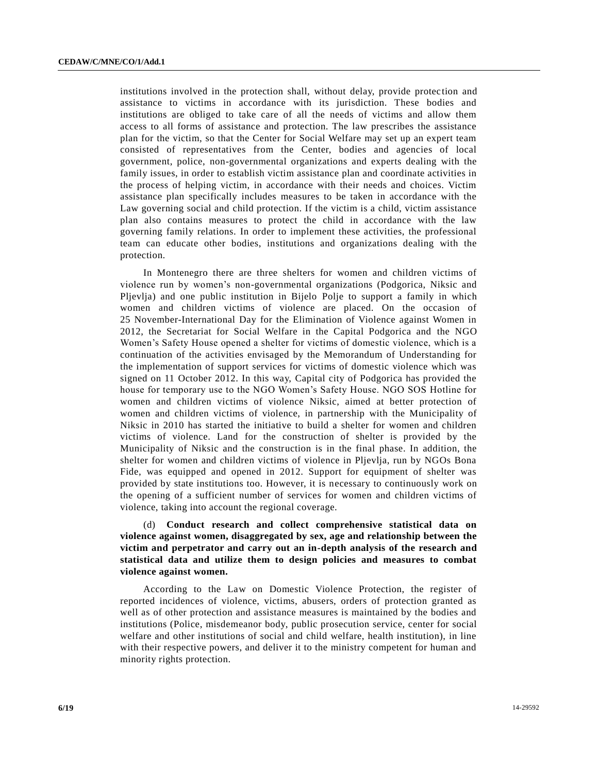institutions involved in the protection shall, without delay, provide protection and assistance to victims in accordance with its jurisdiction. These bodies and institutions are obliged to take care of all the needs of victims and allow them access to all forms of assistance and protection. The law prescribes the assistance plan for the victim, so that the Center for Social Welfare may set up an expert team consisted of representatives from the Center, bodies and agencies of local government, police, non-governmental organizations and experts dealing with the family issues, in order to establish victim assistance plan and coordinate activities in the process of helping victim, in accordance with their needs and choices. Victim assistance plan specifically includes measures to be taken in accordance with the Law governing social and child protection. If the victim is a child, victim assistance plan also contains measures to protect the child in accordance with the law governing family relations. In order to implement these activities, the professional team can educate other bodies, institutions and organizations dealing with the protection.

In Montenegro there are three shelters for women and children victims of violence run by women's non-governmental organizations (Podgorica, Niksic and Pljevlja) and one public institution in Bijelo Polje to support a family in which women and children victims of violence are placed. On the occasion of 25 November-International Day for the Elimination of Violence against Women in 2012, the Secretariat for Social Welfare in the Capital Podgorica and the NGO Women's Safety House opened a shelter for victims of domestic violence, which is a continuation of the activities envisaged by the Memorandum of Understanding for the implementation of support services for victims of domestic violence which was signed on 11 October 2012. In this way, Capital city of Podgorica has provided the house for temporary use to the NGO Women's Safety House. NGO SOS Hotline for women and children victims of violence Niksic, aimed at better protection of women and children victims of violence, in partnership with the Municipality of Niksic in 2010 has started the initiative to build a shelter for women and children victims of violence. Land for the construction of shelter is provided by the Municipality of Niksic and the construction is in the final phase. In addition, the shelter for women and children victims of violence in Pljevlja, run by NGOs Bona Fide, was equipped and opened in 2012. Support for equipment of shelter was provided by state institutions too. However, it is necessary to continuously work on the opening of a sufficient number of services for women and children victims of violence, taking into account the regional coverage.

(d) **Conduct research and collect comprehensive statistical data on violence against women, disaggregated by sex, age and relationship between the victim and perpetrator and carry out an in-depth analysis of the research and statistical data and utilize them to design policies and measures to combat violence against women.**

According to the Law on Domestic Violence Protection, the register of reported incidences of violence, victims, abusers, orders of protection granted as well as of other protection and assistance measures is maintained by the bodies and institutions (Police, misdemeanor body, public prosecution service, center for social welfare and other institutions of social and child welfare, health institution), in line with their respective powers, and deliver it to the ministry competent for human and minority rights protection.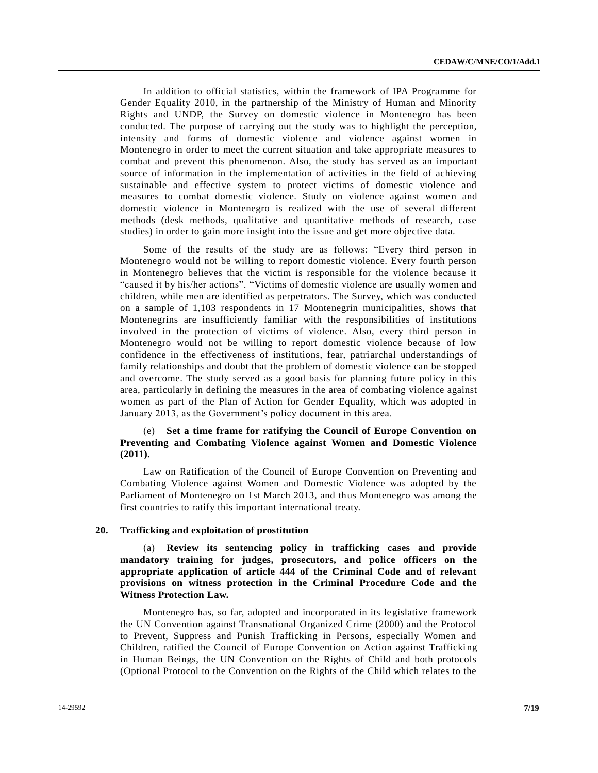In addition to official statistics, within the framework of IPA Programme for Gender Equality 2010, in the partnership of the Ministry of Human and Minority Rights and UNDP, the Survey on domestic violence in Montenegro has been conducted. The purpose of carrying out the study was to highlight the perception, intensity and forms of domestic violence and violence against women in Montenegro in order to meet the current situation and take appropriate measures to combat and prevent this phenomenon. Also, the study has served as an important source of information in the implementation of activities in the field of achieving sustainable and effective system to protect victims of domestic violence and measures to combat domestic violence. Study on violence against women and domestic violence in Montenegro is realized with the use of several different methods (desk methods, qualitative and quantitative methods of research, case studies) in order to gain more insight into the issue and get more objective data.

Some of the results of the study are as follows: "Every third person in Montenegro would not be willing to report domestic violence. Every fourth person in Montenegro believes that the victim is responsible for the violence because it "caused it by his/her actions". "Victims of domestic violence are usually women and children, while men are identified as perpetrators. The Survey, which was conducted on a sample of 1,103 respondents in 17 Montenegrin municipalities, shows that Montenegrins are insufficiently familiar with the responsibilities of institutions involved in the protection of victims of violence. Also, every third person in Montenegro would not be willing to report domestic violence because of low confidence in the effectiveness of institutions, fear, patriarchal understandings of family relationships and doubt that the problem of domestic violence can be stopped and overcome. The study served as a good basis for planning future policy in this area, particularly in defining the measures in the area of combating violence against women as part of the Plan of Action for Gender Equality, which was adopted in January 2013, as the Government's policy document in this area.

# (e) **Set a time frame for ratifying the Council of Europe Convention on Preventing and Combating Violence against Women and Domestic Violence (2011).**

Law on Ratification of the Council of Europe Convention on Preventing and Combating Violence against Women and Domestic Violence was adopted by the Parliament of Montenegro on 1st March 2013, and thus Montenegro was among the first countries to ratify this important international treaty.

#### **20. Trafficking and exploitation of prostitution**

(a) **Review its sentencing policy in trafficking cases and provide mandatory training for judges, prosecutors, and police officers on the appropriate application of article 444 of the Criminal Code and of relevant provisions on witness protection in the Criminal Procedure Code and the Witness Protection Law.**

Montenegro has, so far, adopted and incorporated in its legislative framework the UN Convention against Transnational Organized Crime (2000) and the Protocol to Prevent, Suppress and Punish Trafficking in Persons, especially Women and Children, ratified the Council of Europe Convention on Action against Trafficki ng in Human Beings, the UN Convention on the Rights of Child and both protocols (Optional Protocol to the Convention on the Rights of the Child which relates to the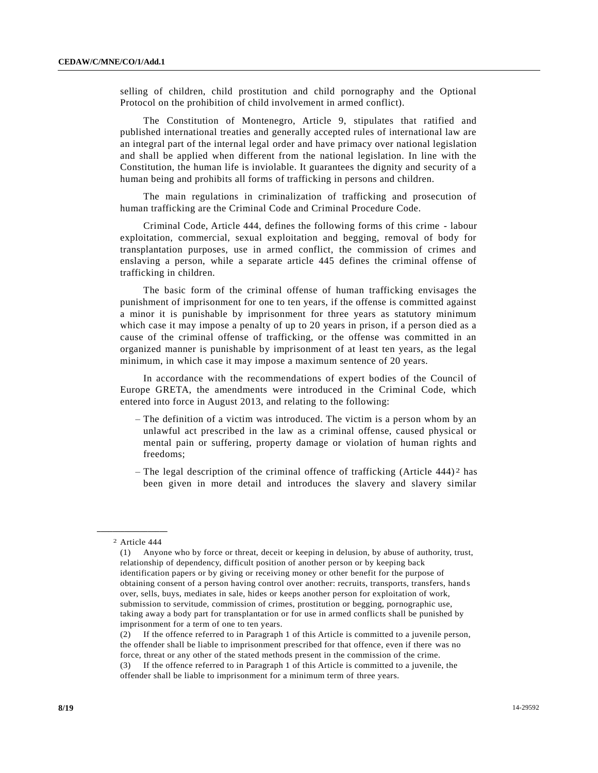selling of children, child prostitution and child pornography and the Optional Protocol on the prohibition of child involvement in armed conflict).

The Constitution of Montenegro, Article 9, stipulates that ratified and published international treaties and generally accepted rules of international law are an integral part of the internal legal order and have primacy over national legislation and shall be applied when different from the national legislation. In line with the Constitution, the human life is inviolable. It guarantees the dignity and security of a human being and prohibits all forms of trafficking in persons and children.

The main regulations in criminalization of trafficking and prosecution of human trafficking are the Criminal Code and Criminal Procedure Code.

Criminal Code, Article 444, defines the following forms of this crime - labour exploitation, commercial, sexual exploitation and begging, removal of body for transplantation purposes, use in armed conflict, the commission of crimes and enslaving a person, while a separate article 445 defines the criminal offense of trafficking in children.

The basic form of the criminal offense of human trafficking envisages the punishment of imprisonment for one to ten years, if the offense is committed against a minor it is punishable by imprisonment for three years as statutory minimum which case it may impose a penalty of up to 20 years in prison, if a person died as a cause of the criminal offense of trafficking, or the offense was committed in an organized manner is punishable by imprisonment of at least ten years, as the legal minimum, in which case it may impose a maximum sentence of 20 years.

In accordance with the recommendations of expert bodies of the Council of Europe GRETA, the amendments were introduced in the Criminal Code, which entered into force in August 2013, and relating to the following:

- The definition of a victim was introduced. The victim is a person whom by an unlawful act prescribed in the law as a criminal offense, caused physical or mental pain or suffering, property damage or violation of human rights and freedoms;
- The legal description of the criminal offence of trafficking (Article  $444$ )<sup>2</sup> has been given in more detail and introduces the slavery and slavery similar

offender shall be liable to imprisonment for a minimum term of three years.

**\_\_\_\_\_\_\_\_\_\_\_\_\_\_\_\_\_\_** 2 Article 444

<sup>(1)</sup> Anyone who by force or threat, deceit or keeping in delusion, by abuse of authority, trust, relationship of dependency, difficult position of another person or by keeping back identification papers or by giving or receiving money or other benefit for the purpose of obtaining consent of a person having control over another: recruits, transports, transfers, hand s over, sells, buys, mediates in sale, hides or keeps another person for exploitation of work, submission to servitude, commission of crimes, prostitution or begging, pornographic use, taking away a body part for transplantation or for use in armed conflicts shall be punished by imprisonment for a term of one to ten years.

<sup>(2)</sup> If the offence referred to in Paragraph 1 of this Article is committed to a juvenile person, the offender shall be liable to imprisonment prescribed for that offence, even if there was no force, threat or any other of the stated methods present in the commission of the crime. (3) If the offence referred to in Paragraph 1 of this Article is committed to a juvenile, the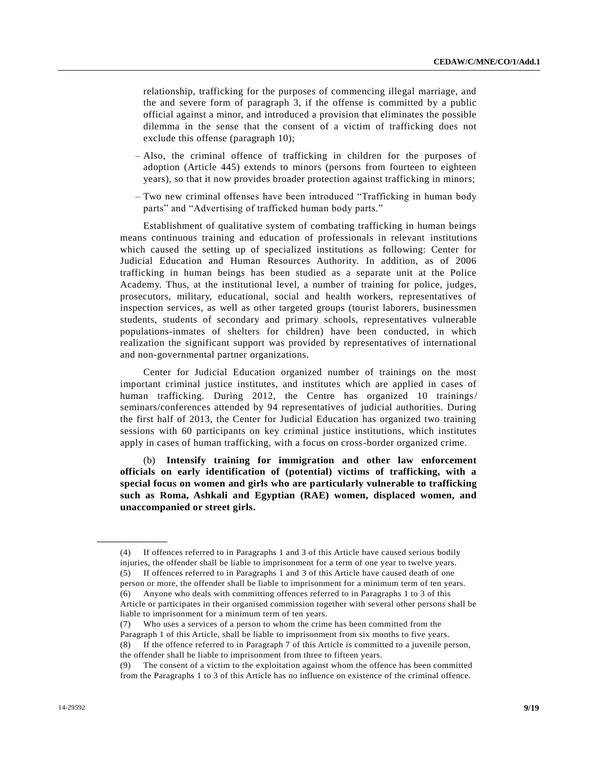relationship, trafficking for the purposes of commencing illegal marriage, and the and severe form of paragraph 3, if the offense is committed by a public official against a minor, and introduced a provision that eliminates the possible dilemma in the sense that the consent of a victim of trafficking does not exclude this offense (paragraph 10);

- Also, the criminal offence of trafficking in children for the purposes of adoption (Article 445) extends to minors (persons from fourteen to eighteen years), so that it now provides broader protection against trafficking in minors;
- Two new criminal offenses have been introduced "Trafficking in human body parts" and "Advertising of trafficked human body parts."

Establishment of qualitative system of combating trafficking in human beings means continuous training and education of professionals in relevant institutions which caused the setting up of specialized institutions as following: Center for Judicial Education and Human Resources Authority. In addition, as of 2006 trafficking in human beings has been studied as a separate unit at the Police Academy. Thus, at the institutional level, a number of training for police, judges, prosecutors, military, educational, social and health workers, representatives of inspection services, as well as other targeted groups (tourist laborers, businessmen students, students of secondary and primary schools, representatives vulnerable populations-inmates of shelters for children) have been conducted, in which realization the significant support was provided by representatives of international and non-governmental partner organizations.

Center for Judicial Education organized number of trainings on the most important criminal justice institutes, and institutes which are applied in cases of human trafficking. During 2012, the Centre has organized 10 trainings/ seminars/conferences attended by 94 representatives of judicial authorities. During the first half of 2013, the Center for Judicial Education has organized two training sessions with 60 participants on key criminal justice institutions, which institutes apply in cases of human trafficking, with a focus on cross-border organized crime.

(b) **Intensify training for immigration and other law enforcement officials on early identification of (potential) victims of trafficking, with a special focus on women and girls who are particularly vulnerable to trafficking such as Roma, Ashkali and Egyptian (RAE) women, displaced women, and unaccompanied or street girls.**

**\_\_\_\_\_\_\_\_\_\_\_\_\_\_\_\_\_\_**

<sup>(4)</sup> If offences referred to in Paragraphs 1 and 3 of this Article have caused serious bodily injuries, the offender shall be liable to imprisonment for a term of one year to twelve years. (5) If offences referred to in Paragraphs 1 and 3 of this Article have caused death of one person or more, the offender shall be liable to imprisonment for a minimum term of ten years. (6) Anyone who deals with committing offences referred to in Paragraphs 1 to 3 of this Article or participates in their organised commission together with several other persons shall be liable to imprisonment for a minimum term of ten years.

<sup>(7)</sup> Who uses a services of a person to whom the crime has been committed from the Paragraph 1 of this Article, shall be liable to imprisonment from six months to five years. (8) If the offence referred to in Paragraph 7 of this Article is committed to a juvenile person, the offender shall be liable to imprisonment from three to fifteen years.

<sup>(9)</sup> The consent of a victim to the exploitation against whom the offence has been committed from the Paragraphs 1 to 3 of this Article has no influence on existence of the criminal offence.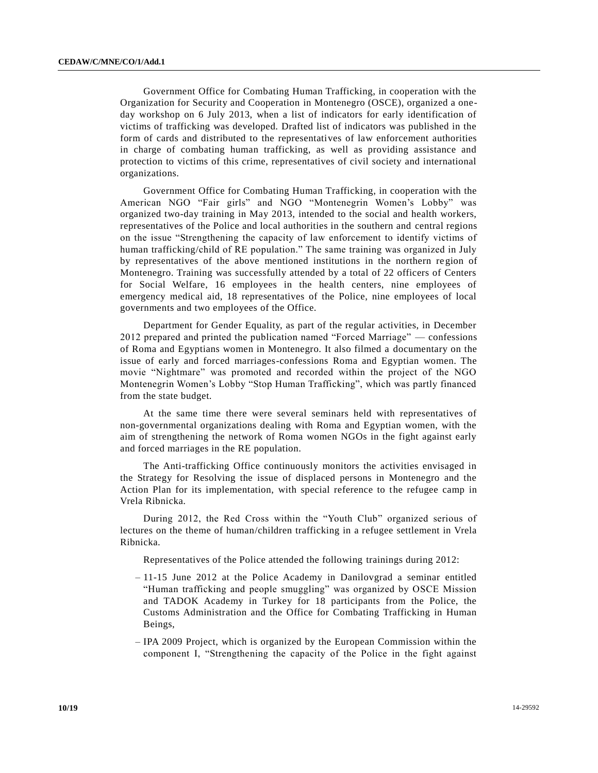Government Office for Combating Human Trafficking, in cooperation with the Organization for Security and Cooperation in Montenegro (OSCE), organized a oneday workshop on 6 July 2013, when a list of indicators for early identification of victims of trafficking was developed. Drafted list of indicators was published in the form of cards and distributed to the representatives of law enforcement authorities in charge of combating human trafficking, as well as providing assistance and protection to victims of this crime, representatives of civil society and international organizations.

Government Office for Combating Human Trafficking, in cooperation with the American NGO "Fair girls" and NGO "Montenegrin Women's Lobby" was organized two-day training in May 2013, intended to the social and health workers, representatives of the Police and local authorities in the southern and central regions on the issue "Strengthening the capacity of law enforcement to identify victims of human trafficking/child of RE population." The same training was organized in July by representatives of the above mentioned institutions in the northern re gion of Montenegro. Training was successfully attended by a total of 22 officers of Centers for Social Welfare, 16 employees in the health centers, nine employees of emergency medical aid, 18 representatives of the Police, nine employees of local governments and two employees of the Office.

Department for Gender Equality, as part of the regular activities, in December 2012 prepared and printed the publication named "Forced Marriage" — confessions of Roma and Egyptians women in Montenegro. It also filmed a documentary on the issue of early and forced marriages-confessions Roma and Egyptian women. The movie "Nightmare" was promoted and recorded within the project of the NGO Montenegrin Women's Lobby "Stop Human Trafficking", which was partly financed from the state budget.

At the same time there were several seminars held with representatives of non-governmental organizations dealing with Roma and Egyptian women, with the aim of strengthening the network of Roma women NGOs in the fight against early and forced marriages in the RE population.

The Anti-trafficking Office continuously monitors the activities envisaged in the Strategy for Resolving the issue of displaced persons in Montenegro and the Action Plan for its implementation, with special reference to the refugee camp in Vrela Ribnicka.

During 2012, the Red Cross within the "Youth Club" organized serious of lectures on the theme of human/children trafficking in a refugee settlement in Vrela Ribnicka.

Representatives of the Police attended the following trainings during 2012:

- 11-15 June 2012 at the Police Academy in Danilovgrad a seminar entitled "Human trafficking and people smuggling" was organized by OSCE Mission and TADOK Academy in Turkey for 18 participants from the Police, the Customs Administration and the Office for Combating Trafficking in Human Beings,
- IPA 2009 Project, which is organized by the European Commission within the component I, "Strengthening the capacity of the Police in the fight against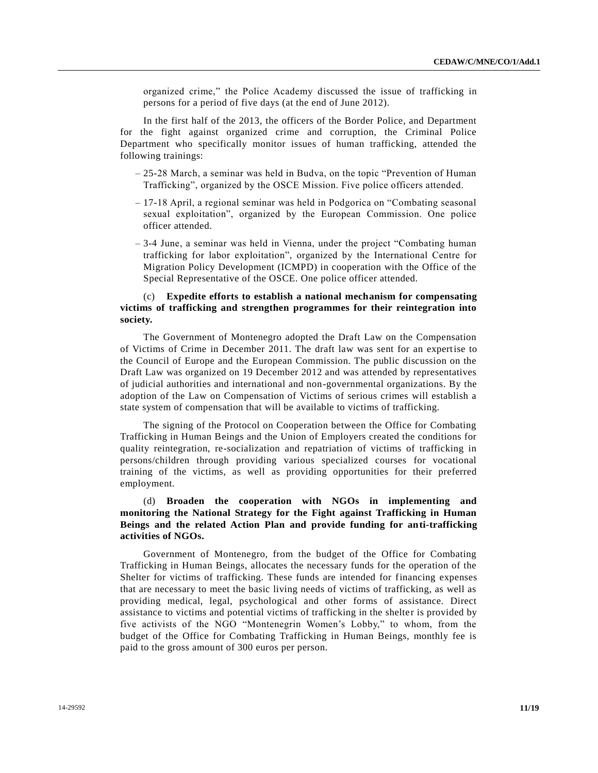organized crime," the Police Academy discussed the issue of trafficking in persons for a period of five days (at the end of June 2012).

In the first half of the 2013, the officers of the Border Police, and Department for the fight against organized crime and corruption, the Criminal Police Department who specifically monitor issues of human trafficking, attended the following trainings:

- 25-28 March, a seminar was held in Budva, on the topic "Prevention of Human Trafficking", organized by the OSCE Mission. Five police officers attended.
- 17-18 April, a regional seminar was held in Podgorica on "Combating seasonal sexual exploitation", organized by the European Commission. One police officer attended.
- 3-4 June, a seminar was held in Vienna, under the project "Combating human trafficking for labor exploitation", organized by the International Centre for Migration Policy Development (ICMPD) in cooperation with the Office of the Special Representative of the OSCE. One police officer attended.

### (c) **Expedite efforts to establish a national mechanism for compensating victims of trafficking and strengthen programmes for their reintegration into society.**

The Government of Montenegro adopted the Draft Law on the Compensation of Victims of Crime in December 2011. The draft law was sent for an expertise to the Council of Europe and the European Commission. The public discussion on the Draft Law was organized on 19 December 2012 and was attended by representatives of judicial authorities and international and non-governmental organizations. By the adoption of the Law on Compensation of Victims of serious crimes will establish a state system of compensation that will be available to victims of trafficking.

The signing of the Protocol on Cooperation between the Office for Combating Trafficking in Human Beings and the Union of Employers created the conditions for quality reintegration, re-socialization and repatriation of victims of trafficking in persons/children through providing various specialized courses for vocational training of the victims, as well as providing opportunities for their preferred employment.

# (d) **Broaden the cooperation with NGOs in implementing and monitoring the National Strategy for the Fight against Trafficking in Human Beings and the related Action Plan and provide funding for anti-trafficking activities of NGOs.**

Government of Montenegro, from the budget of the Office for Combating Trafficking in Human Beings, allocates the necessary funds for the operation of the Shelter for victims of trafficking. These funds are intended for financing expenses that are necessary to meet the basic living needs of victims of trafficking, as well as providing medical, legal, psychological and other forms of assistance. Direct assistance to victims and potential victims of trafficking in the shelter is provided by five activists of the NGO "Montenegrin Women's Lobby," to whom, from the budget of the Office for Combating Trafficking in Human Beings, monthly fee is paid to the gross amount of 300 euros per person.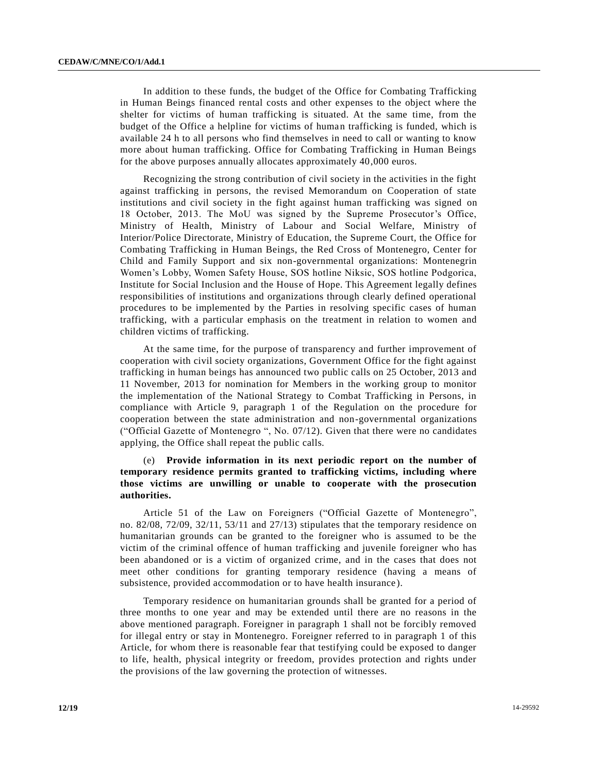In addition to these funds, the budget of the Office for Combating Trafficking in Human Beings financed rental costs and other expenses to the object where the shelter for victims of human trafficking is situated. At the same time, from the budget of the Office a helpline for victims of human trafficking is funded, which is available 24 h to all persons who find themselves in need to call or wanting to know more about human trafficking. Office for Combating Trafficking in Human Beings for the above purposes annually allocates approximately 40,000 euros.

Recognizing the strong contribution of civil society in the activities in the fight against trafficking in persons, the revised Memorandum on Cooperation of state institutions and civil society in the fight against human trafficking was signed on 18 October, 2013. The MoU was signed by the Supreme Prosecutor's Office, Ministry of Health, Ministry of Labour and Social Welfare, Ministry of Interior/Police Directorate, Ministry of Education, the Supreme Court, the Office for Combating Trafficking in Human Beings, the Red Cross of Montenegro, Center for Child and Family Support and six non-governmental organizations: Montenegrin Women's Lobby, Women Safety House, SOS hotline Niksic, SOS hotline Podgorica, Institute for Social Inclusion and the House of Hope. This Agreement legally defines responsibilities of institutions and organizations through clearly defined operational procedures to be implemented by the Parties in resolving specific cases of human trafficking, with a particular emphasis on the treatment in relation to women and children victims of trafficking.

At the same time, for the purpose of transparency and further improvement of cooperation with civil society organizations, Government Office for the fight against trafficking in human beings has announced two public calls on 25 October, 2013 and 11 November, 2013 for nomination for Members in the working group to monitor the implementation of the National Strategy to Combat Trafficking in Persons, in compliance with Article 9, paragraph 1 of the Regulation on the procedure for cooperation between the state administration and non-governmental organizations ("Official Gazette of Montenegro ", No. 07/12). Given that there were no candidates applying, the Office shall repeat the public calls.

# (e) **Provide information in its next periodic report on the number of temporary residence permits granted to trafficking victims, including where those victims are unwilling or unable to cooperate with the prosecution authorities.**

Article 51 of the Law on Foreigners ("Official Gazette of Montenegro", no. 82/08, 72/09, 32/11, 53/11 and 27/13) stipulates that the temporary residence on humanitarian grounds can be granted to the foreigner who is assumed to be the victim of the criminal offence of human trafficking and juvenile foreigner who has been abandoned or is a victim of organized crime, and in the cases that does not meet other conditions for granting temporary residence (having a means of subsistence, provided accommodation or to have health insurance).

Temporary residence on humanitarian grounds shall be granted for a period of three months to one year and may be extended until there are no reasons in the above mentioned paragraph. Foreigner in paragraph 1 shall not be forcibly removed for illegal entry or stay in Montenegro. Foreigner referred to in paragraph 1 of this Article, for whom there is reasonable fear that testifying could be exposed to danger to life, health, physical integrity or freedom, provides protection and rights under the provisions of the law governing the protection of witnesses.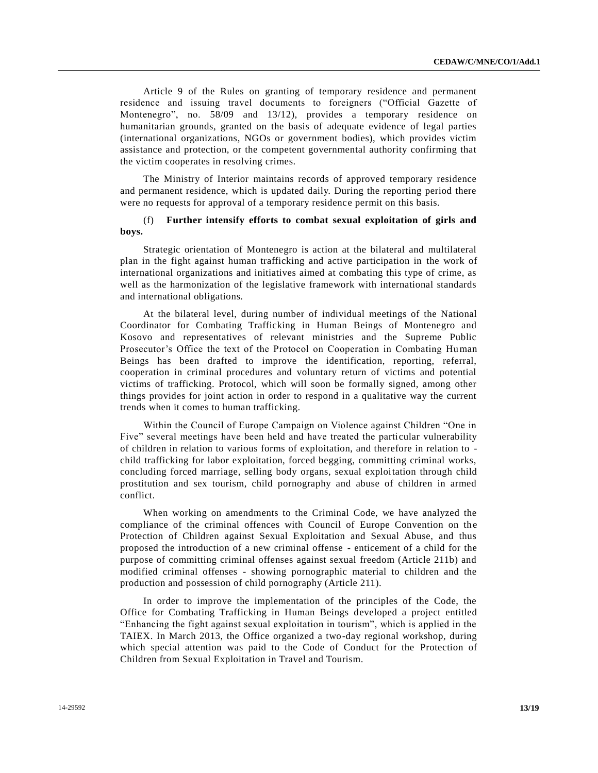Article 9 of the Rules on granting of temporary residence and permanent residence and issuing travel documents to foreigners ("Official Gazette of Montenegro", no. 58/09 and 13/12), provides a temporary residence on humanitarian grounds, granted on the basis of adequate evidence of legal parties (international organizations, NGOs or government bodies), which provides victim assistance and protection, or the competent governmental authority confirming that the victim cooperates in resolving crimes.

The Ministry of Interior maintains records of approved temporary residence and permanent residence, which is updated daily. During the reporting period there were no requests for approval of a temporary residence permit on this basis.

#### (f) **Further intensify efforts to combat sexual exploitation of girls and boys.**

Strategic orientation of Montenegro is action at the bilateral and multilateral plan in the fight against human trafficking and active participation in the work of international organizations and initiatives aimed at combating this type of crime, as well as the harmonization of the legislative framework with international standards and international obligations.

At the bilateral level, during number of individual meetings of the National Coordinator for Combating Trafficking in Human Beings of Montenegro and Kosovo and representatives of relevant ministries and the Supreme Public Prosecutor's Office the text of the Protocol on Cooperation in Combating Human Beings has been drafted to improve the identification, reporting, referral, cooperation in criminal procedures and voluntary return of victims and potential victims of trafficking. Protocol, which will soon be formally signed, among other things provides for joint action in order to respond in a qualitative way the current trends when it comes to human trafficking.

Within the Council of Europe Campaign on Violence against Children "One in Five" several meetings have been held and have treated the particular vulnerability of children in relation to various forms of exploitation, and therefore in relation to child trafficking for labor exploitation, forced begging, committing criminal works, concluding forced marriage, selling body organs, sexual exploitation through child prostitution and sex tourism, child pornography and abuse of children in armed conflict.

When working on amendments to the Criminal Code, we have analyzed the compliance of the criminal offences with Council of Europe Convention on the Protection of Children against Sexual Exploitation and Sexual Abuse, and thus proposed the introduction of a new criminal offense - enticement of a child for the purpose of committing criminal offenses against sexual freedom (Article 211b) and modified criminal offenses - showing pornographic material to children and the production and possession of child pornography (Article 211).

In order to improve the implementation of the principles of the Code, the Office for Combating Trafficking in Human Beings developed a project entitled "Enhancing the fight against sexual exploitation in tourism", which is applied in the TAIEX. In March 2013, the Office organized a two-day regional workshop, during which special attention was paid to the Code of Conduct for the Protection of Children from Sexual Exploitation in Travel and Tourism.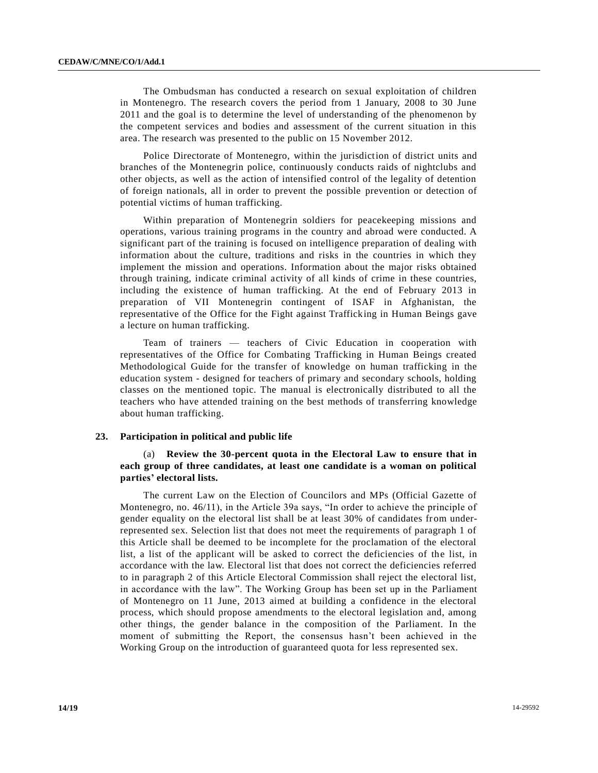The Ombudsman has conducted a research on sexual exploitation of children in Montenegro. The research covers the period from 1 January, 2008 to 30 June 2011 and the goal is to determine the level of understanding of the phenomenon by the competent services and bodies and assessment of the current situation in this area. The research was presented to the public on 15 November 2012.

Police Directorate of Montenegro, within the jurisdiction of district units and branches of the Montenegrin police, continuously conducts raids of nightclubs and other objects, as well as the action of intensified control of the legality of detention of foreign nationals, all in order to prevent the possible prevention or detection of potential victims of human trafficking.

Within preparation of Montenegrin soldiers for peacekeeping missions and operations, various training programs in the country and abroad were conducted. A significant part of the training is focused on intelligence preparation of dealing with information about the culture, traditions and risks in the countries in which they implement the mission and operations. Information about the major risks obtained through training, indicate criminal activity of all kinds of crime in these countries, including the existence of human trafficking. At the end of February 2013 in preparation of VII Montenegrin contingent of ISAF in Afghanistan, the representative of the Office for the Fight against Trafficking in Human Beings gave a lecture on human trafficking.

Team of trainers — teachers of Civic Education in cooperation with representatives of the Office for Combating Trafficking in Human Beings created Methodological Guide for the transfer of knowledge on human trafficking in the education system - designed for teachers of primary and secondary schools, holding classes on the mentioned topic. The manual is electronically distributed to all the teachers who have attended training on the best methods of transferring knowledge about human trafficking.

#### **23. Participation in political and public life**

### (a) **Review the 30-percent quota in the Electoral Law to ensure that in each group of three candidates, at least one candidate is a woman on political parties' electoral lists.**

The current Law on the Election of Councilors and MPs (Official Gazette of Montenegro, no. 46/11), in the Article 39a says, "In order to achieve the principle of gender equality on the electoral list shall be at least 30% of candidates from underrepresented sex. Selection list that does not meet the requirements of paragraph 1 of this Article shall be deemed to be incomplete for the proclamation of the electoral list, a list of the applicant will be asked to correct the deficiencies of the list, in accordance with the law. Electoral list that does not correct the deficiencies referred to in paragraph 2 of this Article Electoral Commission shall reject the electoral list, in accordance with the law". The Working Group has been set up in the Parliament of Montenegro on 11 June, 2013 aimed at building a confidence in the electoral process, which should propose amendments to the electoral legislation and, among other things, the gender balance in the composition of the Parliament. In the moment of submitting the Report, the consensus hasn't been achieved in the Working Group on the introduction of guaranteed quota for less represented sex.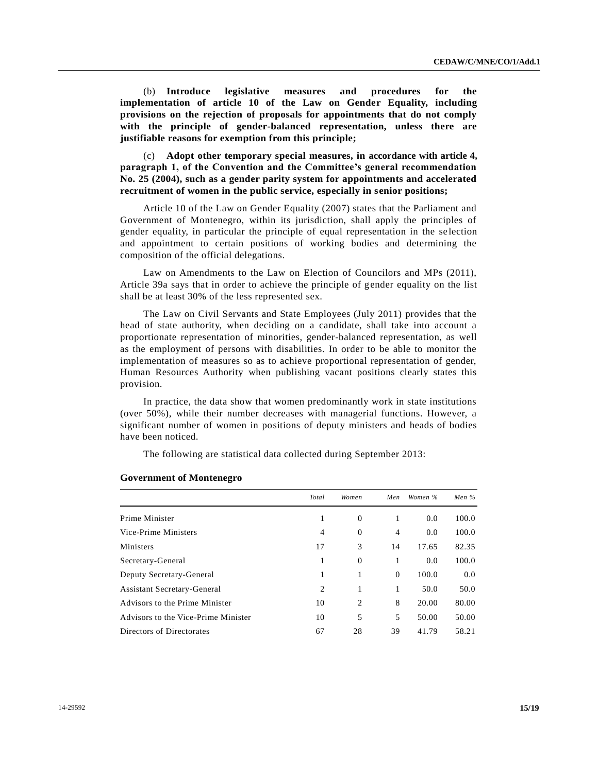(b) **Introduce legislative measures and procedures for the implementation of article 10 of the Law on Gender Equality, including provisions on the rejection of proposals for appointments that do not comply with the principle of gender-balanced representation, unless there are justifiable reasons for exemption from this principle;**

(c) **Adopt other temporary special measures, in accordance with article 4, paragraph 1, of the Convention and the Committee's general recommendation No. 25 (2004), such as a gender parity system for appointments and accelerated recruitment of women in the public service, especially in senior positions;**

Article 10 of the Law on Gender Equality (2007) states that the Parliament and Government of Montenegro, within its jurisdiction, shall apply the principles of gender equality, in particular the principle of equal representation in the se lection and appointment to certain positions of working bodies and determining the composition of the official delegations.

Law on Amendments to the Law on Election of Councilors and MPs (2011), Article 39a says that in order to achieve the principle of gender equality on the list shall be at least 30% of the less represented sex.

The Law on Civil Servants and State Employees (July 2011) provides that the head of state authority, when deciding on a candidate, shall take into account a proportionate representation of minorities, gender-balanced representation, as well as the employment of persons with disabilities. In order to be able to monitor the implementation of measures so as to achieve proportional representation of gender, Human Resources Authority when publishing vacant positions clearly states this provision.

In practice, the data show that women predominantly work in state institutions (over 50%), while their number decreases with managerial functions. However, a significant number of women in positions of deputy ministers and heads of bodies have been noticed.

The following are statistical data collected during September 2013:

|                                     | Total          | Women            | Men            | Women % | Men $\%$ |
|-------------------------------------|----------------|------------------|----------------|---------|----------|
| Prime Minister                      | 1              | $\overline{0}$   | 1              | 0.0     | 100.0    |
| Vice-Prime Ministers                | $\overline{4}$ | $\boldsymbol{0}$ | $\overline{4}$ | 0.0     | 100.0    |
| Ministers                           | 17             | 3                | 14             | 17.65   | 82.35    |
| Secretary-General                   | 1              | $\theta$         | 1              | 0.0     | 100.0    |
| Deputy Secretary-General            | 1              | 1                | $\mathbf{0}$   | 100.0   | 0.0      |
| Assistant Secretary-General         | $\overline{2}$ | 1                | 1              | 50.0    | 50.0     |
| Advisors to the Prime Minister      | 10             | 2                | 8              | 20.00   | 80.00    |
| Advisors to the Vice-Prime Minister | 10             | 5                | 5              | 50.00   | 50.00    |
| Directors of Directorates           | 67             | 28               | 39             | 41.79   | 58.21    |

#### **Government of Montenegro**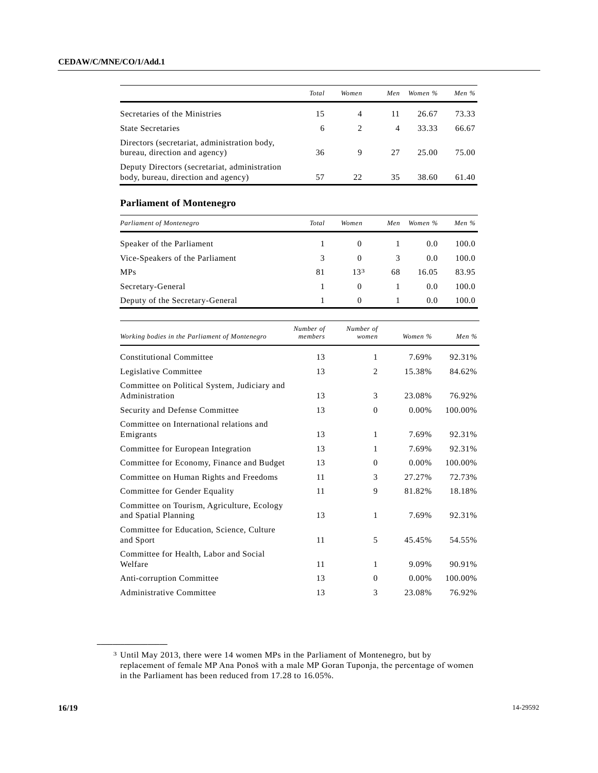|                                                                                      | Total                | Women              | Men | Women %     | Men $%$                            |
|--------------------------------------------------------------------------------------|----------------------|--------------------|-----|-------------|------------------------------------|
| Secretaries of the Ministries                                                        | 15                   | 4                  | 11  | 26.67       | 73.33                              |
| <b>State Secretaries</b>                                                             | 6                    | 2                  | 4   | 33.33       | 66.67                              |
| Directors (secretariat, administration body,<br>bureau, direction and agency)        | 36                   | 9                  | 27  | 25.00       | 75.00                              |
| Deputy Directors (secretariat, administration<br>body, bureau, direction and agency) | 57                   | 22                 | 35  | 38.60       | 61.40                              |
| <b>Parliament of Montenegro</b>                                                      |                      |                    |     |             |                                    |
| Parliament of Montenegro                                                             | Total                | Women              | Men | Women %     | Men $%$                            |
| Speaker of the Parliament                                                            | 1                    | $\Omega$           | 1   | 0.0         | 100.0                              |
| Vice-Speakers of the Parliament                                                      | 3                    | $\Omega$           | 3   | 0.0         | 100.0                              |
| <b>MPs</b>                                                                           | 81                   | 133                | 68  | 16.05       | 83.95                              |
| Secretary-General                                                                    | 1                    | $\overline{0}$     | 1   | 0.0         | 100.0                              |
| Deputy of the Secretary-General                                                      | 1                    | $\mathbf{0}$       | 1   | 0.0         | 100.0                              |
| Working bodies in the Parliament of Montenegro                                       | Number of<br>members | Number of<br>women |     | Women %     | Men %                              |
| <b>Constitutional Committee</b>                                                      | 13                   | 1                  |     | 7.69%       | 92.31%                             |
| $\cdots$                                                                             |                      |                    |     | $-$ 0.0 $-$ | $\sim$ $\sim$ $\sim$ $\sim$ $\sim$ |

| <b>Constitutional Committee</b>                                    | 13 | 1              | 7.69%  | 92.31%  |
|--------------------------------------------------------------------|----|----------------|--------|---------|
| Legislative Committee                                              | 13 | $\overline{2}$ | 15.38% | 84.62%  |
| Committee on Political System, Judiciary and<br>Administration     | 13 | 3              | 23.08% | 76.92%  |
| Security and Defense Committee                                     | 13 | $\theta$       | 0.00%  | 100.00% |
| Committee on International relations and<br>Emigrants              | 13 | 1              | 7.69%  | 92.31%  |
| Committee for European Integration                                 | 13 | 1              | 7.69%  | 92.31%  |
| Committee for Economy, Finance and Budget                          | 13 | $\Omega$       | 0.00%  | 100.00% |
| Committee on Human Rights and Freedoms                             | 11 | 3              | 27.27% | 72.73%  |
| Committee for Gender Equality                                      | 11 | 9              | 81.82% | 18.18%  |
| Committee on Tourism, Agriculture, Ecology<br>and Spatial Planning | 13 | 1              | 7.69%  | 92.31%  |
| Committee for Education, Science, Culture<br>and Sport             | 11 | 5              | 45.45% | 54.55%  |
| Committee for Health, Labor and Social<br>Welfare                  | 11 | 1              | 9.09%  | 90.91%  |
| Anti-corruption Committee                                          | 13 | $\Omega$       | 0.00%  | 100.00% |
| Administrative Committee                                           | 13 | 3              | 23.08% | 76.92%  |

**\_\_\_\_\_\_\_\_\_\_\_\_\_\_\_\_\_\_**

<sup>3</sup> Until May 2013, there were 14 women MPs in the Parliament of Montenegro, but by replacement of female MP Ana Ponoš with a male MP Goran Tuponja, the percentage of women in the Parliament has been reduced from 17.28 to 16.05%.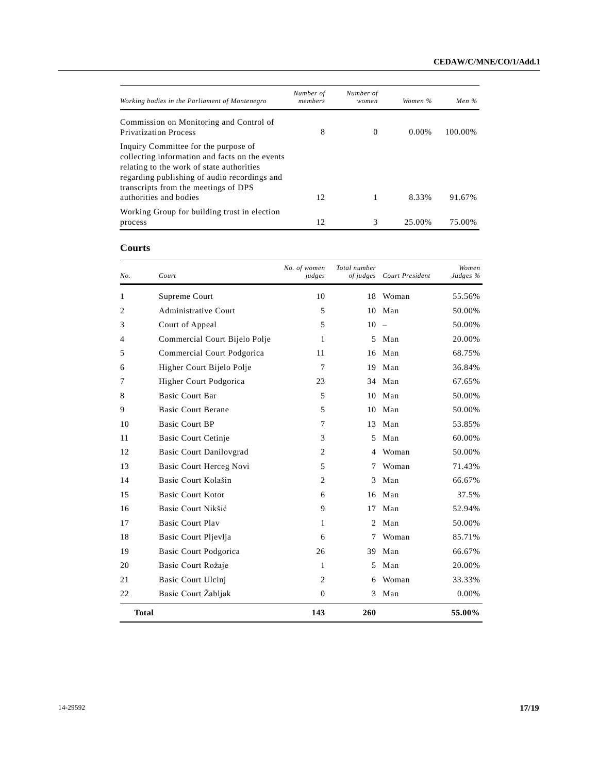| Working bodies in the Parliament of Montenegro                                                                                                                                                                                                        | Number of<br>members | Number of<br>women | Women %  | Men $\%$ |
|-------------------------------------------------------------------------------------------------------------------------------------------------------------------------------------------------------------------------------------------------------|----------------------|--------------------|----------|----------|
| Commission on Monitoring and Control of<br><b>Privatization Process</b>                                                                                                                                                                               | 8                    | $\Omega$           | $0.00\%$ | 100.00%  |
| Inquiry Committee for the purpose of<br>collecting information and facts on the events<br>relating to the work of state authorities<br>regarding publishing of audio recordings and<br>transcripts from the meetings of DPS<br>authorities and bodies | 12                   | 1                  | 8.33%    | 91.67%   |
| Working Group for building trust in election                                                                                                                                                                                                          |                      |                    |          |          |
| process                                                                                                                                                                                                                                               | 12                   | 3                  | 25.00%   | 75.00%   |

#### **Courts**

| No. | Court                          | No. of women<br>judges | Total number<br>of judges | Court President | Women<br>Judges % |
|-----|--------------------------------|------------------------|---------------------------|-----------------|-------------------|
| 1   | Supreme Court                  | 10                     | 18                        | Woman           | 55.56%            |
| 2   | <b>Administrative Court</b>    | 5                      | 10                        | Man             | 50.00%            |
| 3   | Court of Appeal                | 5                      | 10                        | $\equiv$        | 50.00%            |
| 4   | Commercial Court Bijelo Polje  | 1                      | 5                         | Man             | 20.00%            |
| 5   | Commercial Court Podgorica     | 11                     | 16                        | Man             | 68.75%            |
| 6   | Higher Court Bijelo Polje      | 7                      | 19                        | Man             | 36.84%            |
| 7   | Higher Court Podgorica         | 23                     |                           | 34 Man          | 67.65%            |
| 8   | <b>Basic Court Bar</b>         | 5                      | 10                        | Man             | 50.00%            |
| 9   | <b>Basic Court Berane</b>      | 5                      | 10                        | Man             | 50.00%            |
| 10  | <b>Basic Court BP</b>          | 7                      | 13                        | Man             | 53.85%            |
| 11  | <b>Basic Court Cetinje</b>     | 3                      | 5                         | Man             | 60.00%            |
| 12  | <b>Basic Court Danilovgrad</b> | $\overline{c}$         | 4                         | Woman           | 50.00%            |
| 13  | <b>Basic Court Herceg Novi</b> | 5                      | 7                         | Woman           | 71.43%            |
| 14  | Basic Court Kolašin            | $\overline{c}$         | 3                         | Man             | 66.67%            |
| 15  | <b>Basic Court Kotor</b>       | 6                      | 16                        | Man             | 37.5%             |
| 16  | Basic Court Nikšić             | 9                      | 17                        | Man             | 52.94%            |
| 17  | <b>Basic Court Play</b>        | 1                      | 2                         | Man             | 50.00%            |
| 18  | Basic Court Pljevlja           | 6                      | 7                         | Woman           | 85.71%            |
| 19  | <b>Basic Court Podgorica</b>   | 26                     | 39                        | Man             | 66.67%            |
| 20  | Basic Court Rožaje             | 1                      | 5                         | Man             | 20.00%            |
| 21  | <b>Basic Court Ulcinj</b>      | $\overline{c}$         | 6                         | Woman           | 33.33%            |
| 22  | Basic Court Žabljak            | $\overline{0}$         | 3                         | Man             | 0.00%             |
|     | <b>Total</b>                   | 143                    | 260                       |                 | 55.00%            |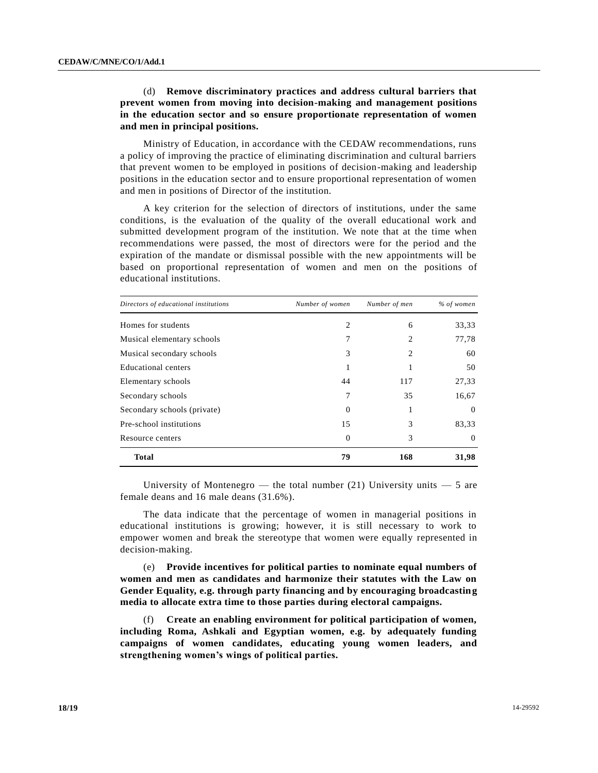# (d) **Remove discriminatory practices and address cultural barriers that prevent women from moving into decision-making and management positions in the education sector and so ensure proportionate representation of women and men in principal positions.**

Ministry of Education, in accordance with the CEDAW recommendations, runs a policy of improving the practice of eliminating discrimination and cultural barriers that prevent women to be employed in positions of decision-making and leadership positions in the education sector and to ensure proportional representation of women and men in positions of Director of the institution.

A key criterion for the selection of directors of institutions, under the same conditions, is the evaluation of the quality of the overall educational work and submitted development program of the institution. We note that at the time when recommendations were passed, the most of directors were for the period and the expiration of the mandate or dismissal possible with the new appointments will be based on proportional representation of women and men on the positions of educational institutions.

| Directors of educational institutions | Number of women | Number of men | % of women |
|---------------------------------------|-----------------|---------------|------------|
| Homes for students                    | 2               | 6             | 33,33      |
| Musical elementary schools            | 7               | 2             | 77,78      |
| Musical secondary schools             | 3               | 2             | 60         |
| <b>Educational centers</b>            |                 |               | 50         |
| Elementary schools                    | 44              | 117           | 27,33      |
| Secondary schools                     | 7               | 35            | 16,67      |
| Secondary schools (private)           | $\Omega$        |               | $\theta$   |
| Pre-school institutions               | 15              | 3             | 83,33      |
| Resource centers                      | $\Omega$        | 3             | $\Omega$   |
| <b>Total</b>                          | 79              | 168           | 31,98      |

University of Montenegro — the total number  $(21)$  University units — 5 are female deans and 16 male deans (31.6%).

The data indicate that the percentage of women in managerial positions in educational institutions is growing; however, it is still necessary to work to empower women and break the stereotype that women were equally represented in decision-making.

(e) **Provide incentives for political parties to nominate equal numbers of women and men as candidates and harmonize their statutes with the Law on Gender Equality, e.g. through party financing and by encouraging broadcasting media to allocate extra time to those parties during electoral campaigns.**

(f) **Create an enabling environment for political participation of women, including Roma, Ashkali and Egyptian women, e.g. by adequately funding campaigns of women candidates, educating young women leaders, and strengthening women's wings of political parties.**